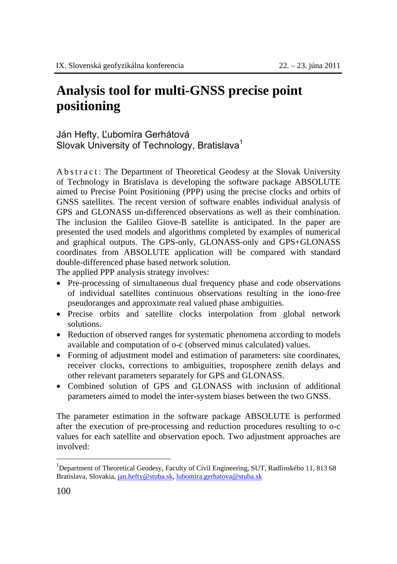## **Analysis tool for multi-GNSS precise point positioning**

Ján Hefty, Ľubomíra Gerhátová Slovak University of Technology, Bratislava<sup>1</sup>

A b s t r a c t : The Department of Theoretical Geodesy at the Slovak University of Technology in Bratislava is developing the software package ABSOLUTE aimed to Precise Point Positioning (PPP) using the precise clocks and orbits of GNSS satellites. The recent version of software enables individual analysis of GPS and GLONASS un-differenced observations as well as their combination. The inclusion the Galileo Giove-B satellite is anticipated. In the paper are presented the used models and algorithms completed by examples of numerical and graphical outputs. The GPS-only, GLONASS-only and GPS+GLONASS coordinates from ABSOLUTE application will be compared with standard double-differenced phase based network solution.

The applied PPP analysis strategy involves:

- Pre-processing of simultaneous dual frequency phase and code observations of individual satellites continuous observations resulting in the iono-free pseudoranges and approximate real valued phase ambiguities.
- Precise orbits and satellite clocks interpolation from global network solutions.
- Reduction of observed ranges for systematic phenomena according to models available and computation of o-c (observed minus calculated) values.
- Forming of adjustment model and estimation of parameters: site coordinates, receiver clocks, corrections to ambiguities, troposphere zenith delays and other relevant parameters separately for GPS and GLONASS.
- Combined solution of GPS and GLONASS with inclusion of additional parameters aimed to model the inter-system biases between the two GNSS.

The parameter estimation in the software package ABSOLUTE is performed after the execution of pre-processing and reduction procedures resulting to o-c values for each satellite and observation epoch. Two adjustment approaches are involved:

 $\overline{a}$ 

<sup>&</sup>lt;sup>1</sup>Department of Theoretical Geodesy, Faculty of Civil Engineering, SUT, Radlinského 11, 813 68 Bratislava, Slovakia, jan.hefty@stuba.sk, lubomira.gerhatova@stuba.sk